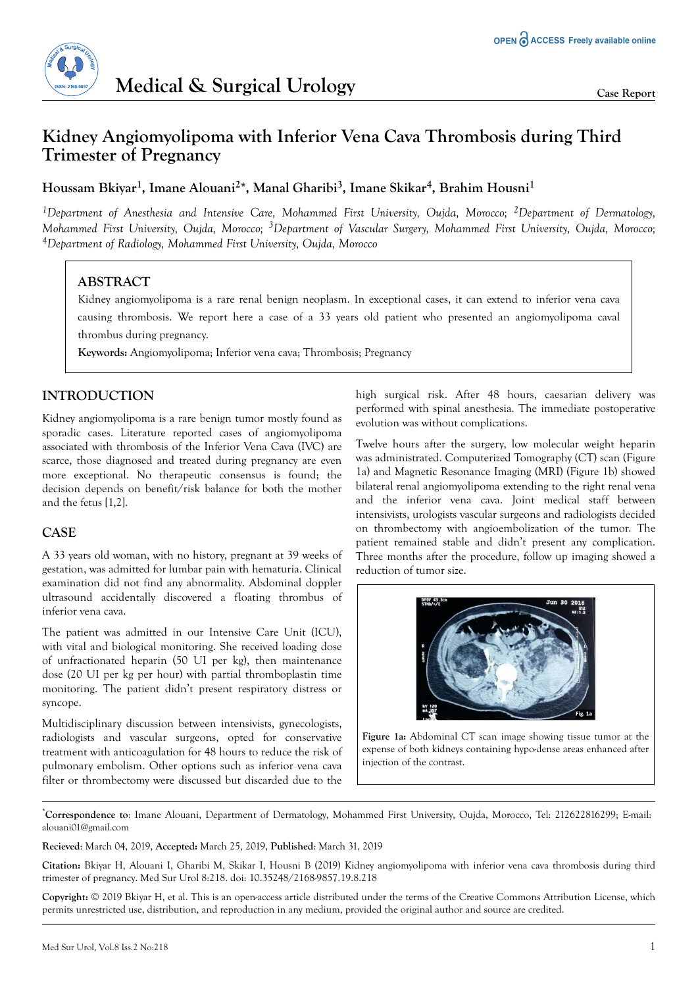

# **Kidney Angiomyolipoma with Inferior Vena Cava Thrombosis during Third Trimester of Pregnancy**

## **Houssam Bkiyar<sup>1</sup> , Imane Alouani<sup>2</sup> \*, Manal Gharibi<sup>3</sup> , Imane Skikar<sup>4</sup> , Brahim Housni<sup>1</sup>**

*<sup>1</sup>Department of Anesthesia and Intensive Care, Mohammed First University, Oujda, Morocco; 2Department of Dermatology, Mohammed First University, Oujda, Morocco; 3Department of Vascular Surgery, Mohammed First University, Oujda, Morocco; <sup>4</sup>Department of Radiology, Mohammed First University, Oujda, Morocco*

## **ABSTRACT**

Kidney angiomyolipoma is a rare renal benign neoplasm. In exceptional cases, it can extend to inferior vena cava causing thrombosis. We report here a case of a 33 years old patient who presented an angiomyolipoma caval thrombus during pregnancy.

**Keywords:** Angiomyolipoma; Inferior vena cava; Thrombosis; Pregnancy

## **INTRODUCTION**

Kidney angiomyolipoma is a rare benign tumor mostly found as sporadic cases. Literature reported cases of angiomyolipoma associated with thrombosis of the Inferior Vena Cava (IVC) are scarce, those diagnosed and treated during pregnancy are even more exceptional. No therapeutic consensus is found; the decision depends on benefit/risk balance for both the mother and the fetus [1,2].

### **CASE**

A 33 years old woman, with no history, pregnant at 39 weeks of gestation, was admitted for lumbar pain with hematuria. Clinical examination did not find any abnormality. Abdominal doppler ultrasound accidentally discovered a floating thrombus of inferior vena cava.

The patient was admitted in our Intensive Care Unit (ICU), with vital and biological monitoring. She received loading dose of unfractionated heparin (50 UI per kg), then maintenance dose (20 UI per kg per hour) with partial thromboplastin time monitoring. The patient didn't present respiratory distress or syncope.

Multidisciplinary discussion between intensivists, gynecologists, radiologists and vascular surgeons, opted for conservative treatment with anticoagulation for 48 hours to reduce the risk of pulmonary embolism. Other options such as inferior vena cava filter or thrombectomy were discussed but discarded due to the

high surgical risk. After 48 hours, caesarian delivery was performed with spinal anesthesia. The immediate postoperative evolution was without complications.

Twelve hours after the surgery, low molecular weight heparin was administrated. Computerized Tomography (CT) scan (Figure 1a) and Magnetic Resonance Imaging (MRI) (Figure 1b) showed bilateral renal angiomyolipoma extending to the right renal vena and the inferior vena cava. Joint medical staff between intensivists, urologists vascular surgeons and radiologists decided on thrombectomy with angioembolization of the tumor. The patient remained stable and didn't present any complication. Three months after the procedure, follow up imaging showed a reduction of tumor size.



**Figure 1a:** Abdominal CT scan image showing tissue tumor at the expense of both kidneys containing hypo-dense areas enhanced after injection of the contrast.

\***Correspondence to**: Imane Alouani, Department of Dermatology, Mohammed First University, Oujda, Morocco, Tel: 212622816299; E-mail: [alouani01@gmail.com](mailto:alouani01@gmail.com)

**Recieved**: March 04, 2019, **Accepted:** March 25, 2019, **Published**: March 31, 2019

**Citation:** Bkiyar H, Alouani I, Gharibi M, Skikar I, Housni B (2019) Kidney angiomyolipoma with inferior vena cava thrombosis during third trimester of pregnancy. Med Sur Urol 8:218. doi: 10.35248/2168-9857.19.8.218

**Copyright:** © 2019 Bkiyar H, et al. This is an open-access article distributed under the terms of the Creative Commons Attribution License, which permits unrestricted use, distribution, and reproduction in any medium, provided the original author and source are credited.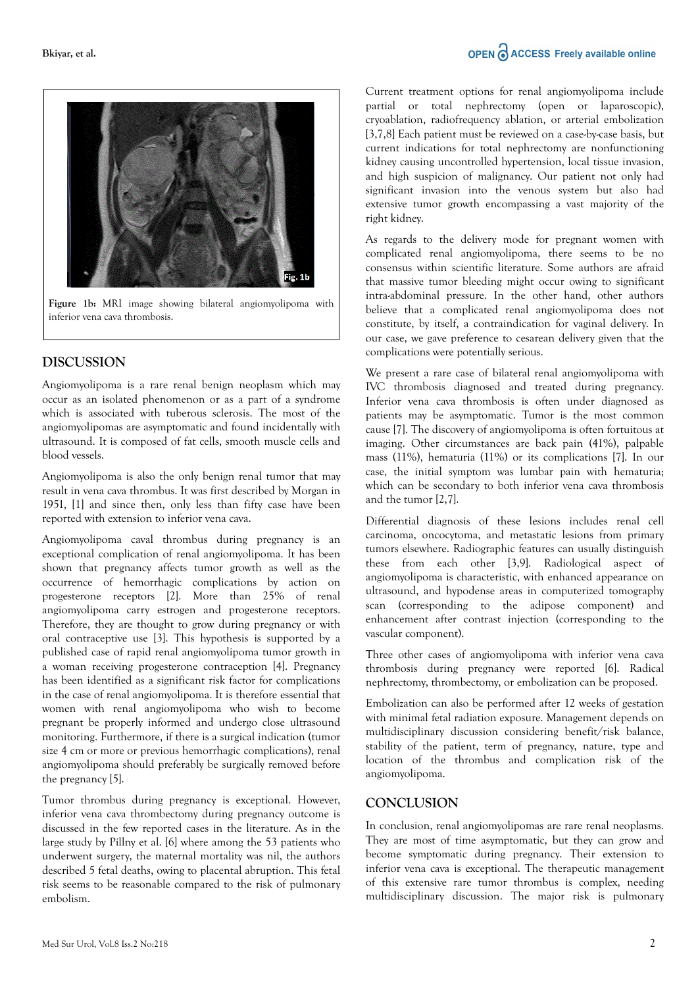

**Figure 1b:** MRI image showing bilateral angiomyolipoma with inferior vena cava thrombosis.

## **DISCUSSION**

Angiomyolipoma is a rare renal benign neoplasm which may occur as an isolated phenomenon or as a part of a syndrome which is associated with tuberous sclerosis. The most of the angiomyolipomas are asymptomatic and found incidentally with ultrasound. It is composed of fat cells, smooth muscle cells and blood vessels.

Angiomyolipoma is also the only benign renal tumor that may result in vena cava thrombus. It was first described by Morgan in 1951, [1] and since then, only less than fifty case have been reported with extension to inferior vena cava.

Angiomyolipoma caval thrombus during pregnancy is an exceptional complication of renal angiomyolipoma. It has been shown that pregnancy affects tumor growth as well as the occurrence of hemorrhagic complications by action on progesterone receptors [2]. More than 25% of renal angiomyolipoma carry estrogen and progesterone receptors. Therefore, they are thought to grow during pregnancy or with oral contraceptive use [3]. This hypothesis is supported by a published case of rapid renal angiomyolipoma tumor growth in a woman receiving progesterone contraception [4]. Pregnancy has been identified as a significant risk factor for complications in the case of renal angiomyolipoma. It is therefore essential that women with renal angiomyolipoma who wish to become pregnant be properly informed and undergo close ultrasound monitoring. Furthermore, if there is a surgical indication (tumor size 4 cm or more or previous hemorrhagic complications), renal angiomyolipoma should preferably be surgically removed before the pregnancy [5].

Tumor thrombus during pregnancy is exceptional. However, inferior vena cava thrombectomy during pregnancy outcome is discussed in the few reported cases in the literature. As in the large study by Pillny et al. [6] where among the 53 patients who underwent surgery, the maternal mortality was nil, the authors described 5 fetal deaths, owing to placental abruption. This fetal risk seems to be reasonable compared to the risk of pulmonary embolism.

Current treatment options for renal angiomyolipoma include partial or total nephrectomy (open or laparoscopic), cryoablation, radiofrequency ablation, or arterial embolization [3,7,8] Each patient must be reviewed on a case-by-case basis, but current indications for total nephrectomy are nonfunctioning kidney causing uncontrolled hypertension, local tissue invasion, and high suspicion of malignancy. Our patient not only had significant invasion into the venous system but also had extensive tumor growth encompassing a vast majority of the right kidney.

As regards to the delivery mode for pregnant women with complicated renal angiomyolipoma, there seems to be no consensus within scientific literature. Some authors are afraid that massive tumor bleeding might occur owing to significant intra-abdominal pressure. In the other hand, other authors believe that a complicated renal angiomyolipoma does not constitute, by itself, a contraindication for vaginal delivery. In our case, we gave preference to cesarean delivery given that the complications were potentially serious.

We present a rare case of bilateral renal angiomyolipoma with IVC thrombosis diagnosed and treated during pregnancy. Inferior vena cava thrombosis is often under diagnosed as patients may be asymptomatic. Tumor is the most common cause [7]. The discovery of angiomyolipoma is often fortuitous at imaging. Other circumstances are back pain (41%), palpable mass (11%), hematuria (11%) or its complications [7]. In our case, the initial symptom was lumbar pain with hematuria; which can be secondary to both inferior vena cava thrombosis and the tumor [2,7].

Differential diagnosis of these lesions includes renal cell carcinoma, oncocytoma, and metastatic lesions from primary tumors elsewhere. Radiographic features can usually distinguish these from each other [3,9]. Radiological aspect of angiomyolipoma is characteristic, with enhanced appearance on ultrasound, and hypodense areas in computerized tomography scan (corresponding to the adipose component) and enhancement after contrast injection (corresponding to the vascular component).

Three other cases of angiomyolipoma with inferior vena cava thrombosis during pregnancy were reported [6]. Radical nephrectomy, thrombectomy, or embolization can be proposed.

Embolization can also be performed after 12 weeks of gestation with minimal fetal radiation exposure. Management depends on multidisciplinary discussion considering benefit/risk balance, stability of the patient, term of pregnancy, nature, type and location of the thrombus and complication risk of the angiomyolipoma.

#### **CONCLUSION**

In conclusion, renal angiomyolipomas are rare renal neoplasms. They are most of time asymptomatic, but they can grow and become symptomatic during pregnancy. Their extension to inferior vena cava is exceptional. The therapeutic management of this extensive rare tumor thrombus is complex, needing multidisciplinary discussion. The major risk is pulmonary